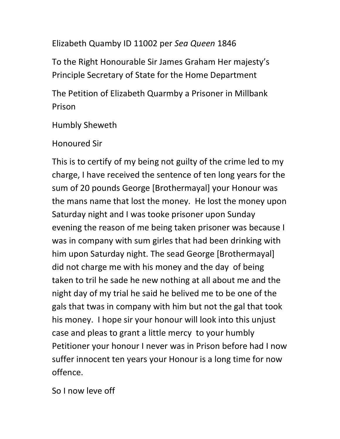Elizabeth Quamby ID 11002 per Sea Queen 1846

To the Right Honourable Sir James Graham Her majesty's Principle Secretary of State for the Home Department

The Petition of Elizabeth Quarmby a Prisoner in Millbank Prison

Humbly Sheweth

Honoured Sir

This is to certify of my being not guilty of the crime led to my charge, I have received the sentence of ten long years for the sum of 20 pounds George [Brothermayal] your Honour was the mans name that lost the money. He lost the money upon Saturday night and I was tooke prisoner upon Sunday evening the reason of me being taken prisoner was because I was in company with sum girles that had been drinking with him upon Saturday night. The sead George [Brothermayal] did not charge me with his money and the day of being taken to tril he sade he new nothing at all about me and the night day of my trial he said he belived me to be one of the gals that twas in company with him but not the gal that took his money. I hope sir your honour will look into this unjust case and pleas to grant a little mercy to your humbly Petitioner your honour I never was in Prison before had I now suffer innocent ten years your Honour is a long time for now offence.

So I now leve off